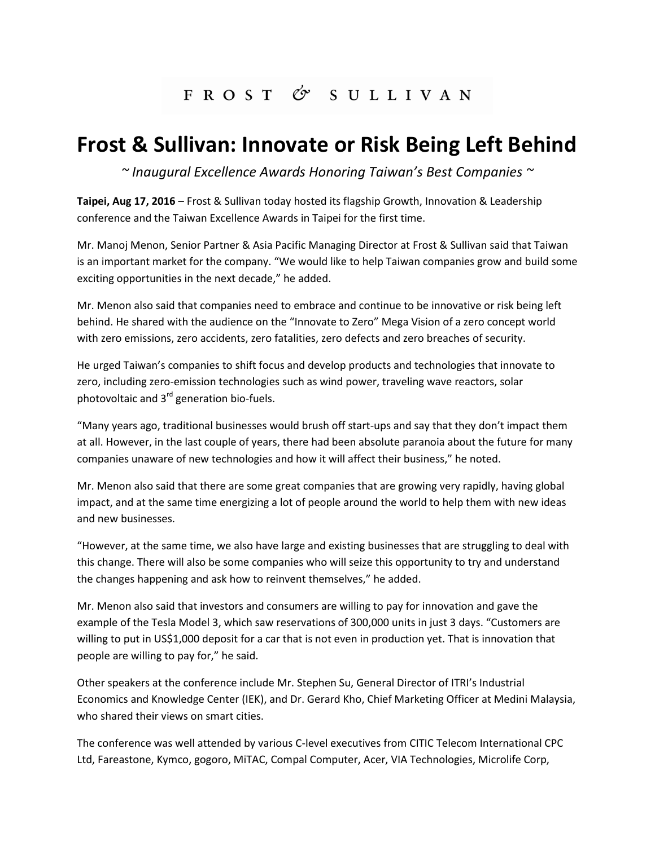## FROST & SULLIVAN

## **Frost & Sullivan: Innovate or Risk Being Left Behind**

*~ Inaugural Excellence Awards Honoring Taiwan's Best Companies ~*

**Taipei, Aug 17, 2016** – Frost & Sullivan today hosted its flagship Growth, Innovation & Leadership conference and the Taiwan Excellence Awards in Taipei for the first time.

Mr. Manoj Menon, Senior Partner & Asia Pacific Managing Director at Frost & Sullivan said that Taiwan is an important market for the company. "We would like to help Taiwan companies grow and build some exciting opportunities in the next decade," he added.

Mr. Menon also said that companies need to embrace and continue to be innovative or risk being left behind. He shared with the audience on the "Innovate to Zero" Mega Vision of a zero concept world with zero emissions, zero accidents, zero fatalities, zero defects and zero breaches of security.

He urged Taiwan's companies to shift focus and develop products and technologies that innovate to zero, including zero-emission technologies such as wind power, traveling wave reactors, solar photovoltaic and  $3^{rd}$  generation bio-fuels.

"Many years ago, traditional businesses would brush off start-ups and say that they don't impact them at all. However, in the last couple of years, there had been absolute paranoia about the future for many companies unaware of new technologies and how it will affect their business," he noted.

Mr. Menon also said that there are some great companies that are growing very rapidly, having global impact, and at the same time energizing a lot of people around the world to help them with new ideas and new businesses.

"However, at the same time, we also have large and existing businesses that are struggling to deal with this change. There will also be some companies who will seize this opportunity to try and understand the changes happening and ask how to reinvent themselves," he added.

Mr. Menon also said that investors and consumers are willing to pay for innovation and gave the example of the Tesla Model 3, which saw reservations of 300,000 units in just 3 days. "Customers are willing to put in US\$1,000 deposit for a car that is not even in production yet. That is innovation that people are willing to pay for," he said.

Other speakers at the conference include Mr. Stephen Su, General Director of ITRI's Industrial Economics and Knowledge Center (IEK), and Dr. Gerard Kho, Chief Marketing Officer at Medini Malaysia, who shared their views on smart cities.

The conference was well attended by various C-level executives from CITIC Telecom International CPC Ltd, Fareastone, Kymco, gogoro, MiTAC, Compal Computer, Acer, VIA Technologies, Microlife Corp,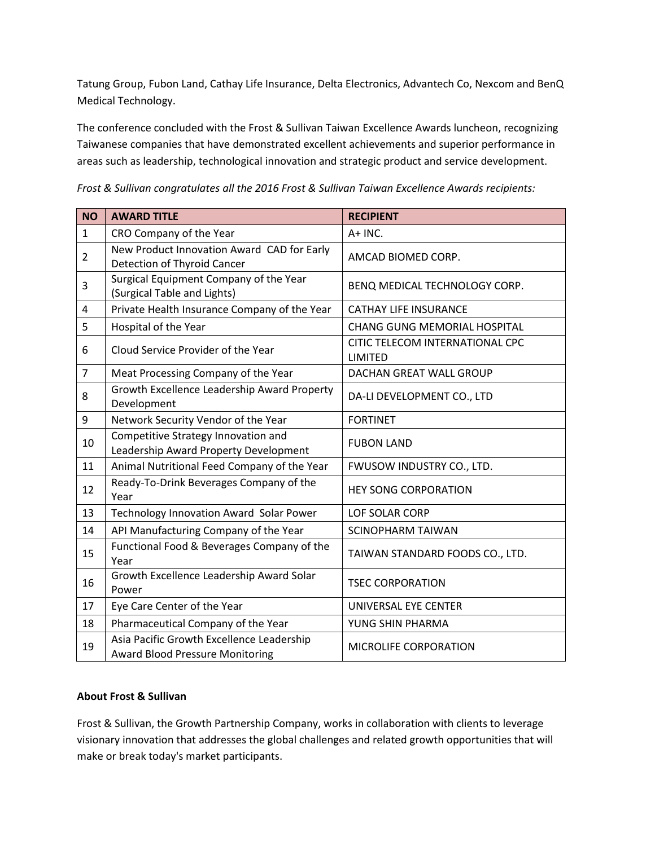Tatung Group, Fubon Land, Cathay Life Insurance, Delta Electronics, Advantech Co, Nexcom and BenQ Medical Technology.

The conference concluded with the Frost & Sullivan Taiwan Excellence Awards luncheon, recognizing Taiwanese companies that have demonstrated excellent achievements and superior performance in areas such as leadership, technological innovation and strategic product and service development.

*Frost & Sullivan congratulates all the 2016 Frost & Sullivan Taiwan Excellence Awards recipients:* 

| <b>NO</b>      | <b>AWARD TITLE</b>                                                                  | <b>RECIPIENT</b>                                  |
|----------------|-------------------------------------------------------------------------------------|---------------------------------------------------|
| $\mathbf{1}$   | CRO Company of the Year                                                             | A+ INC.                                           |
| $\overline{2}$ | New Product Innovation Award CAD for Early<br><b>Detection of Thyroid Cancer</b>    | AMCAD BIOMED CORP.                                |
| 3              | Surgical Equipment Company of the Year<br>(Surgical Table and Lights)               | BENQ MEDICAL TECHNOLOGY CORP.                     |
| 4              | Private Health Insurance Company of the Year                                        | <b>CATHAY LIFE INSURANCE</b>                      |
| 5              | Hospital of the Year                                                                | <b>CHANG GUNG MEMORIAL HOSPITAL</b>               |
| 6              | Cloud Service Provider of the Year                                                  | CITIC TELECOM INTERNATIONAL CPC<br><b>LIMITED</b> |
| $\overline{7}$ | Meat Processing Company of the Year                                                 | DACHAN GREAT WALL GROUP                           |
| 8              | Growth Excellence Leadership Award Property<br>Development                          | DA-LI DEVELOPMENT CO., LTD                        |
| 9              | Network Security Vendor of the Year                                                 | <b>FORTINET</b>                                   |
| 10             | Competitive Strategy Innovation and<br>Leadership Award Property Development        | <b>FUBON LAND</b>                                 |
| 11             | Animal Nutritional Feed Company of the Year                                         | FWUSOW INDUSTRY CO., LTD.                         |
| 12             | Ready-To-Drink Beverages Company of the<br>Year                                     | <b>HEY SONG CORPORATION</b>                       |
| 13             | Technology Innovation Award Solar Power                                             | <b>LOF SOLAR CORP</b>                             |
| 14             | API Manufacturing Company of the Year                                               | <b>SCINOPHARM TAIWAN</b>                          |
| 15             | Functional Food & Beverages Company of the<br>Year                                  | TAIWAN STANDARD FOODS CO., LTD.                   |
| 16             | Growth Excellence Leadership Award Solar<br>Power                                   | <b>TSEC CORPORATION</b>                           |
| 17             | Eye Care Center of the Year                                                         | UNIVERSAL EYE CENTER                              |
| 18             | Pharmaceutical Company of the Year                                                  | YUNG SHIN PHARMA                                  |
| 19             | Asia Pacific Growth Excellence Leadership<br><b>Award Blood Pressure Monitoring</b> | MICROLIFE CORPORATION                             |

## **About Frost & Sullivan**

Frost & Sullivan, the Growth Partnership Company, works in collaboration with clients to leverage visionary innovation that addresses the global challenges and related growth opportunities that will make or break today's market participants.